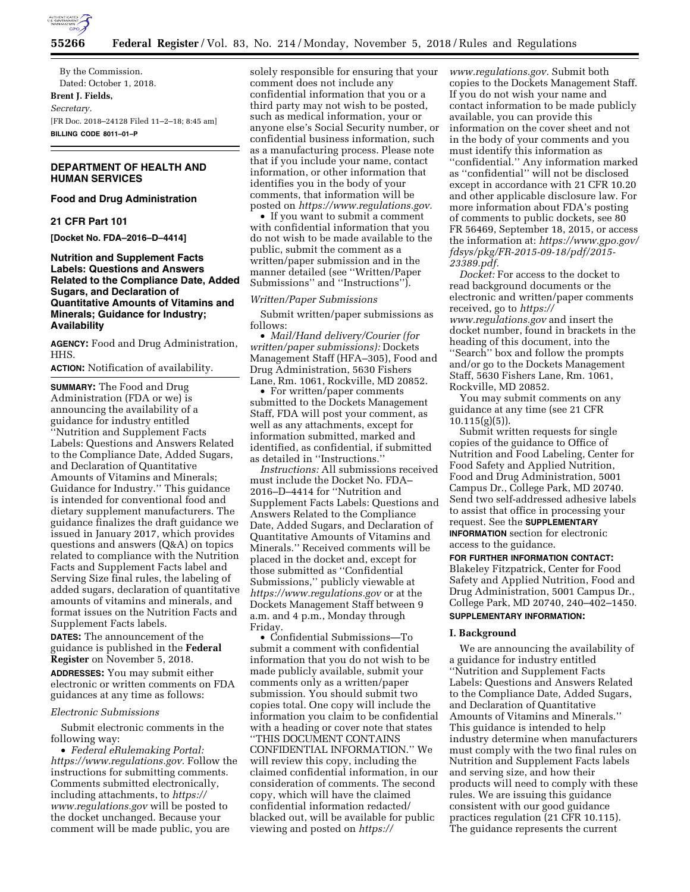

By the Commission. Dated: October 1, 2018. **Brent J. Fields,**  *Secretary.*  [FR Doc. 2018–24128 Filed 11–2–18; 8:45 am] **BILLING CODE 8011–01–P** 

## **DEPARTMENT OF HEALTH AND HUMAN SERVICES**

# **Food and Drug Administration**

#### **21 CFR Part 101**

**[Docket No. FDA–2016–D–4414]** 

## **Nutrition and Supplement Facts Labels: Questions and Answers Related to the Compliance Date, Added Sugars, and Declaration of Quantitative Amounts of Vitamins and Minerals; Guidance for Industry; Availability**

**AGENCY:** Food and Drug Administration, HHS.

**ACTION:** Notification of availability.

**SUMMARY:** The Food and Drug Administration (FDA or we) is announcing the availability of a guidance for industry entitled ''Nutrition and Supplement Facts Labels: Questions and Answers Related to the Compliance Date, Added Sugars, and Declaration of Quantitative Amounts of Vitamins and Minerals; Guidance for Industry.'' This guidance is intended for conventional food and dietary supplement manufacturers. The guidance finalizes the draft guidance we issued in January 2017, which provides questions and answers (Q&A) on topics related to compliance with the Nutrition Facts and Supplement Facts label and Serving Size final rules, the labeling of added sugars, declaration of quantitative amounts of vitamins and minerals, and format issues on the Nutrition Facts and Supplement Facts labels.

**DATES:** The announcement of the guidance is published in the **Federal Register** on November 5, 2018.

**ADDRESSES:** You may submit either electronic or written comments on FDA guidances at any time as follows:

### *Electronic Submissions*

Submit electronic comments in the following way:

• *Federal eRulemaking Portal: [https://www.regulations.gov.](https://www.regulations.gov)* Follow the instructions for submitting comments. Comments submitted electronically, including attachments, to *[https://](https://www.regulations.gov) [www.regulations.gov](https://www.regulations.gov)* will be posted to the docket unchanged. Because your comment will be made public, you are

solely responsible for ensuring that your comment does not include any confidential information that you or a third party may not wish to be posted, such as medical information, your or anyone else's Social Security number, or confidential business information, such as a manufacturing process. Please note that if you include your name, contact information, or other information that identifies you in the body of your comments, that information will be posted on *[https://www.regulations.gov.](https://www.regulations.gov)* 

• If you want to submit a comment with confidential information that you do not wish to be made available to the public, submit the comment as a written/paper submission and in the manner detailed (see ''Written/Paper Submissions'' and ''Instructions'').

### *Written/Paper Submissions*

Submit written/paper submissions as follows:

• *Mail/Hand delivery/Courier (for written/paper submissions):* Dockets Management Staff (HFA–305), Food and Drug Administration, 5630 Fishers Lane, Rm. 1061, Rockville, MD 20852.

• For written/paper comments submitted to the Dockets Management Staff, FDA will post your comment, as well as any attachments, except for information submitted, marked and identified, as confidential, if submitted as detailed in ''Instructions.''

*Instructions:* All submissions received must include the Docket No. FDA– 2016–D–4414 for ''Nutrition and Supplement Facts Labels: Questions and Answers Related to the Compliance Date, Added Sugars, and Declaration of Quantitative Amounts of Vitamins and Minerals.'' Received comments will be placed in the docket and, except for those submitted as ''Confidential Submissions,'' publicly viewable at *<https://www.regulations.gov>* or at the Dockets Management Staff between 9 a.m. and 4 p.m., Monday through Friday.

• Confidential Submissions—To submit a comment with confidential information that you do not wish to be made publicly available, submit your comments only as a written/paper submission. You should submit two copies total. One copy will include the information you claim to be confidential with a heading or cover note that states ''THIS DOCUMENT CONTAINS CONFIDENTIAL INFORMATION.'' We will review this copy, including the claimed confidential information, in our consideration of comments. The second copy, which will have the claimed confidential information redacted/ blacked out, will be available for public viewing and posted on *[https://](https://www.regulations.gov)*

*[www.regulations.gov.](https://www.regulations.gov)* Submit both copies to the Dockets Management Staff. If you do not wish your name and contact information to be made publicly available, you can provide this information on the cover sheet and not in the body of your comments and you must identify this information as ''confidential.'' Any information marked as ''confidential'' will not be disclosed except in accordance with 21 CFR 10.20 and other applicable disclosure law. For more information about FDA's posting of comments to public dockets, see 80 FR 56469, September 18, 2015, or access the information at: *[https://www.gpo.gov/](https://www.gpo.gov/fdsys/pkg/FR-2015-09-18/pdf/2015-23389.pdf) [fdsys/pkg/FR-2015-09-18/pdf/2015-](https://www.gpo.gov/fdsys/pkg/FR-2015-09-18/pdf/2015-23389.pdf)  [23389.pdf.](https://www.gpo.gov/fdsys/pkg/FR-2015-09-18/pdf/2015-23389.pdf)* 

*Docket:* For access to the docket to read background documents or the electronic and written/paper comments received, go to *[https://](https://www.regulations.gov) [www.regulations.gov](https://www.regulations.gov)* and insert the docket number, found in brackets in the heading of this document, into the ''Search'' box and follow the prompts and/or go to the Dockets Management Staff, 5630 Fishers Lane, Rm. 1061, Rockville, MD 20852.

You may submit comments on any guidance at any time (see 21 CFR  $10.115(g)(5)$ ).

Submit written requests for single copies of the guidance to Office of Nutrition and Food Labeling, Center for Food Safety and Applied Nutrition, Food and Drug Administration, 5001 Campus Dr., College Park, MD 20740. Send two self-addressed adhesive labels to assist that office in processing your request. See the **SUPPLEMENTARY INFORMATION** section for electronic access to the guidance.

**FOR FURTHER INFORMATION CONTACT:**  Blakeley Fitzpatrick, Center for Food Safety and Applied Nutrition, Food and Drug Administration, 5001 Campus Dr., College Park, MD 20740, 240–402–1450. **SUPPLEMENTARY INFORMATION:** 

#### **I. Background**

We are announcing the availability of a guidance for industry entitled ''Nutrition and Supplement Facts Labels: Questions and Answers Related to the Compliance Date, Added Sugars, and Declaration of Quantitative Amounts of Vitamins and Minerals.'' This guidance is intended to help industry determine when manufacturers must comply with the two final rules on Nutrition and Supplement Facts labels and serving size, and how their products will need to comply with these rules. We are issuing this guidance consistent with our good guidance practices regulation (21 CFR 10.115). The guidance represents the current